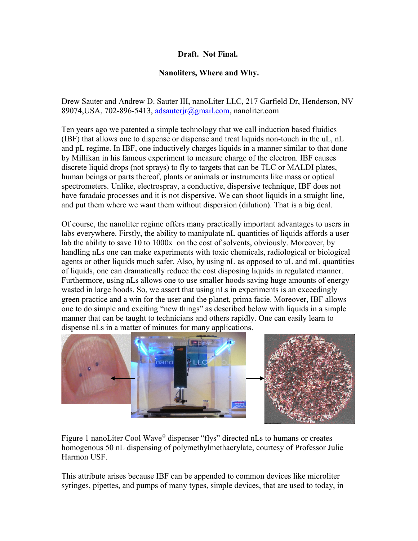## **Draft. Not Final.**

## **Nanoliters, Where and Why.**

Drew Sauter and Andrew D. Sauter III, nanoLiter LLC, 217 Garfield Dr, Henderson, NV 89074,USA, 702-896-5413, [adsauterjr@gmail.com,](mailto:adsauterjr@gmail.com) nanoliter.com

Ten years ago we patented a simple technology that we call induction based fluidics (IBF) that allows one to dispense or dispense and treat liquids non-touch in the uL, nL and pL regime. In IBF, one inductively charges liquids in a manner similar to that done by Millikan in his famous experiment to measure charge of the electron. IBF causes discrete liquid drops (not sprays) to fly to targets that can be TLC or MALDI plates, human beings or parts thereof, plants or animals or instruments like mass or optical spectrometers. Unlike, electrospray, a conductive, dispersive technique, IBF does not have faradaic processes and it is not dispersive. We can shoot liquids in a straight line, and put them where we want them without dispersion (dilution). That is a big deal.

Of course, the nanoliter regime offers many practically important advantages to users in labs everywhere. Firstly, the ability to manipulate nL quantities of liquids affords a user lab the ability to save 10 to 1000x on the cost of solvents, obviously. Moreover, by handling nLs one can make experiments with toxic chemicals, radiological or biological agents or other liquids much safer. Also, by using nL as opposed to uL and mL quantities of liquids, one can dramatically reduce the cost disposing liquids in regulated manner. Furthermore, using nLs allows one to use smaller hoods saving huge amounts of energy wasted in large hoods. So, we assert that using nLs in experiments is an exceedingly green practice and a win for the user and the planet, prima facie. Moreover, IBF allows one to do simple and exciting "new things" as described below with liquids in a simple manner that can be taught to technicians and others rapidly. One can easily learn to dispense nLs in a matter of minutes for many applications.



Figure 1 nanoLiter Cool Wave<sup>®</sup> dispenser "flys" directed nLs to humans or creates homogenous 50 nL dispensing of polymethylmethacrylate, courtesy of Professor Julie Harmon USF.

This attribute arises because IBF can be appended to common devices like microliter syringes, pipettes, and pumps of many types, simple devices, that are used to today, in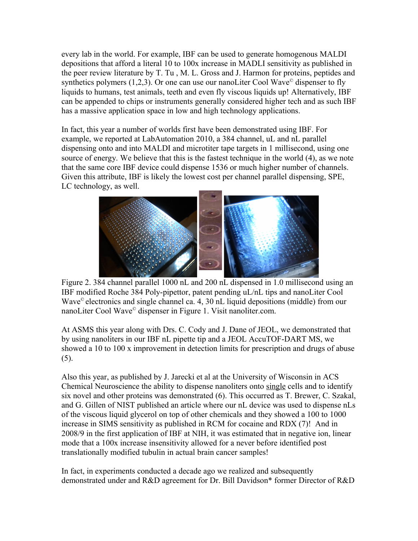every lab in the world. For example, IBF can be used to generate homogenous MALDI depositions that afford a literal 10 to 100x increase in MADLI sensitivity as published in the peer review literature by T. Tu , M. L. Gross and J. Harmon for proteins, peptides and synthetics polymers  $(1,2,3)$ . Or one can use our nanoLiter Cool Wave<sup>®</sup> dispenser to fly liquids to humans, test animals, teeth and even fly viscous liquids up! Alternatively, IBF can be appended to chips or instruments generally considered higher tech and as such IBF has a massive application space in low and high technology applications.

In fact, this year a number of worlds first have been demonstrated using IBF. For example, we reported at LabAutomation 2010, a 384 channel, uL and nL parallel dispensing onto and into MALDI and microtiter tape targets in 1 millisecond, using one source of energy. We believe that this is the fastest technique in the world (4), as we note that the same core IBF device could dispense 1536 or much higher number of channels. Given this attribute, IBF is likely the lowest cost per channel parallel dispensing, SPE, LC technology, as well.



Figure 2. 384 channel parallel 1000 nL and 200 nL dispensed in 1.0 millisecond using an IBF modified Roche 384 Poly-pipettor, patent pending uL/nL tips and nanoLiter Cool Wave<sup>©</sup> electronics and single channel ca. 4, 30 nL liquid depositions (middle) from our nanoLiter Cool Wave© dispenser in Figure 1. Visit nanoliter.com.

At ASMS this year along with Drs. C. Cody and J. Dane of JEOL, we demonstrated that by using nanoliters in our IBF nL pipette tip and a JEOL AccuTOF-DART MS, we showed a 10 to 100 x improvement in detection limits for prescription and drugs of abuse (5).

Also this year, as published by J. Jarecki et al at the University of Wisconsin in ACS Chemical Neuroscience the ability to dispense nanoliters onto single cells and to identify six novel and other proteins was demonstrated (6). This occurred as T. Brewer, C. Szakal, and G. Gillen of NIST published an article where our nL device was used to dispense nLs of the viscous liquid glycerol on top of other chemicals and they showed a 100 to 1000 increase in SIMS sensitivity as published in RCM for cocaine and RDX (7)! And in 2008/9 in the first application of IBF at NIH, it was estimated that in negative ion, linear mode that a 100x increase insensitivity allowed for a never before identified post translationally modified tubulin in actual brain cancer samples!

In fact, in experiments conducted a decade ago we realized and subsequently demonstrated under and R&D agreement for Dr. Bill Davidson\* former Director of R&D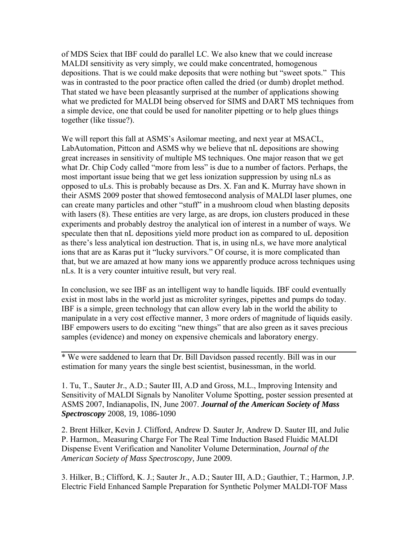of MDS Sciex that IBF could do parallel LC. We also knew that we could increase MALDI sensitivity as very simply, we could make concentrated, homogenous depositions. That is we could make deposits that were nothing but "sweet spots." This was in contrasted to the poor practice often called the dried (or dumb) droplet method. That stated we have been pleasantly surprised at the number of applications showing what we predicted for MALDI being observed for SIMS and DART MS techniques from a simple device, one that could be used for nanoliter pipetting or to help glues things together (like tissue?).

We will report this fall at ASMS's Asilomar meeting, and next year at MSACL, LabAutomation, Pittcon and ASMS why we believe that nL depositions are showing great increases in sensitivity of multiple MS techniques. One major reason that we get what Dr. Chip Cody called "more from less" is due to a number of factors. Perhaps, the most important issue being that we get less ionization suppression by using nLs as opposed to uLs. This is probably because as Drs. X. Fan and K. Murray have shown in their ASMS 2009 poster that showed femtosecond analysis of MALDI laser plumes, one can create many particles and other "stuff" in a mushroom cloud when blasting deposits with lasers (8). These entities are very large, as are drops, ion clusters produced in these experiments and probably destroy the analytical ion of interest in a number of ways. We speculate then that nL depositions yield more product ion as compared to uL deposition as there's less analytical ion destruction. That is, in using nLs, we have more analytical ions that are as Karas put it "lucky survivors." Of course, it is more complicated than that, but we are amazed at how many ions we apparently produce across techniques using nLs. It is a very counter intuitive result, but very real.

In conclusion, we see IBF as an intelligent way to handle liquids. IBF could eventually exist in most labs in the world just as microliter syringes, pipettes and pumps do today. IBF is a simple, green technology that can allow every lab in the world the ability to manipulate in a very cost effective manner, 3 more orders of magnitude of liquids easily. IBF empowers users to do exciting "new things" that are also green as it saves precious samples (evidence) and money on expensive chemicals and laboratory energy.

\* We were saddened to learn that Dr. Bill Davidson passed recently. Bill was in our estimation for many years the single best scientist, businessman, in the world.

1. Tu, T., Sauter Jr., A.D.; Sauter III, A.D and Gross, M.L., Improving Intensity and Sensitivity of MALDI Signals by Nanoliter Volume Spotting, poster session presented at ASMS 2007, Indianapolis, IN, June 2007. *Journal of the American Society of Mass Spectroscopy* 2008, 19, 1086-1090

2. Brent Hilker, Kevin J. Clifford, Andrew D. Sauter Jr, Andrew D. Sauter III, and Julie P. Harmon,. Measuring Charge For The Real Time Induction Based Fluidic MALDI Dispense Event Verification and Nanoliter Volume Determination, *Journal of the American Society of Mass Spectroscopy,* June 2009.

3. Hilker, B.; Clifford, K. J.; Sauter Jr., A.D.; Sauter III, A.D.; Gauthier, T.; Harmon, J.P. Electric Field Enhanced Sample Preparation for Synthetic Polymer MALDI-TOF Mass